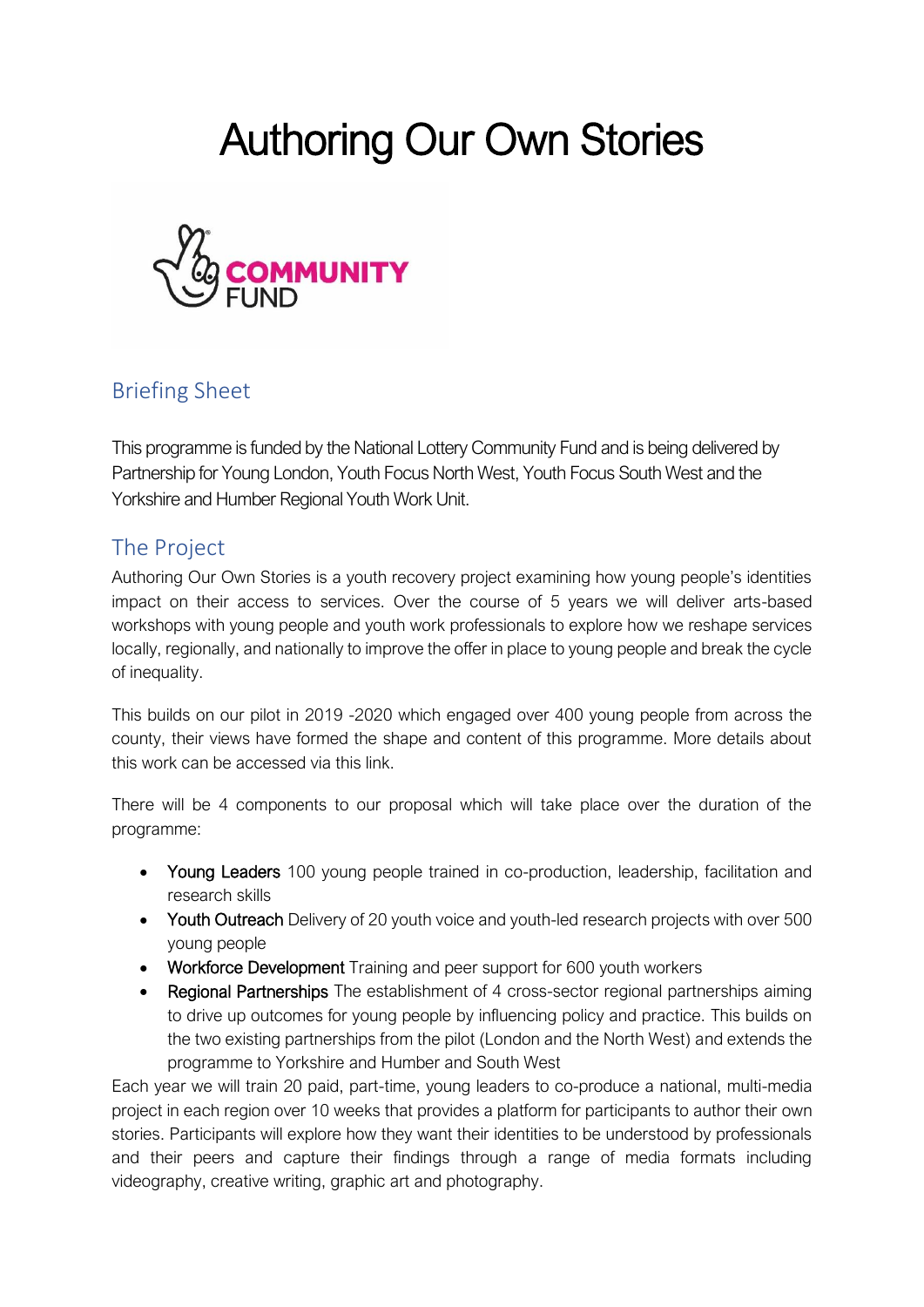# Authoring Our Own Stories



### Briefing Sheet

This programme is funded by the National Lottery Community Fund and is being delivered by Partnership for Young London, Youth Focus North West, Youth Focus South West and the Yorkshire and Humber Regional Youth Work Unit.

#### The Project

Authoring Our Own Stories is a youth recovery project examining how young people's identities impact on their access to services. Over the course of 5 years we will deliver arts-based workshops with young people and youth work professionals to explore how we reshape services locally, regionally, and nationally to improve the offer in place to young people and break the cycle of inequality.

This builds on our pilot in 2019 -2020 which engaged over 400 young people from across the county, their views have formed the shape and content of this programme. More details about this work can be accessed via this link.

There will be 4 components to our proposal which will take place over the duration of the programme:

- Young Leaders 100 young people trained in co-production, leadership, facilitation and research skills
- Youth Outreach Delivery of 20 youth voice and youth-led research projects with over 500 young people
- Workforce Development Training and peer support for 600 youth workers
- Regional Partnerships The establishment of 4 cross-sector regional partnerships aiming to drive up outcomes for young people by influencing policy and practice. This builds on the two existing partnerships from the pilot (London and the North West) and extends the programme to Yorkshire and Humber and South West

Each year we will train 20 paid, part-time, young leaders to co-produce a national, multi-media project in each region over 10 weeks that provides a platform for participants to author their own stories. Participants will explore how they want their identities to be understood by professionals and their peers and capture their findings through a range of media formats including videography, creative writing, graphic art and photography.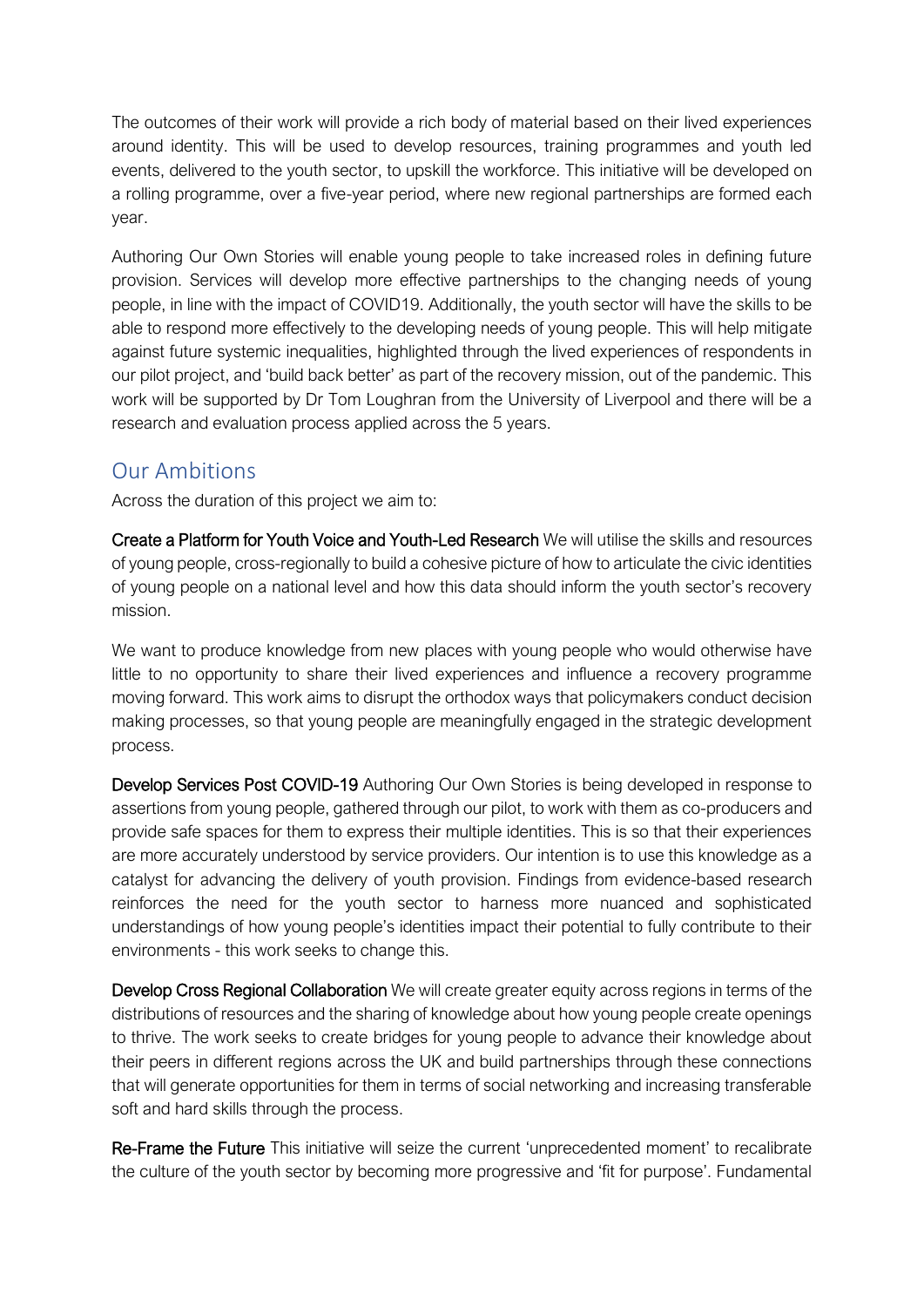The outcomes of their work will provide a rich body of material based on their lived experiences around identity. This will be used to develop resources, training programmes and youth led events, delivered to the youth sector, to upskill the workforce. This initiative will be developed on a rolling programme, over a five-year period, where new regional partnerships are formed each year.

Authoring Our Own Stories will enable young people to take increased roles in defining future provision. Services will develop more effective partnerships to the changing needs of young people, in line with the impact of COVID19. Additionally, the youth sector will have the skills to be able to respond more effectively to the developing needs of young people. This will help mitigate against future systemic inequalities, highlighted through the lived experiences of respondents in our pilot project, and 'build back better' as part of the recovery mission, out of the pandemic. This work will be supported by Dr Tom Loughran from the University of Liverpool and there will be a research and evaluation process applied across the 5 years.

#### Our Ambitions

Across the duration of this project we aim to:

Create a Platform for Youth Voice and Youth-Led Research We will utilise the skills and resources of young people, cross-regionally to build a cohesive picture of how to articulate the civic identities of young people on a national level and how this data should inform the youth sector's recovery mission.

We want to produce knowledge from new places with young people who would otherwise have little to no opportunity to share their lived experiences and influence a recovery programme moving forward. This work aims to disrupt the orthodox ways that policymakers conduct decision making processes, so that young people are meaningfully engaged in the strategic development process.

Develop Services Post COVID-19 Authoring Our Own Stories is being developed in response to assertions from young people, gathered through our pilot, to work with them as co-producers and provide safe spaces for them to express their multiple identities. This is so that their experiences are more accurately understood by service providers. Our intention is to use this knowledge as a catalyst for advancing the delivery of youth provision. Findings from evidence-based research reinforces the need for the youth sector to harness more nuanced and sophisticated understandings of how young people's identities impact their potential to fully contribute to their environments - this work seeks to change this.

Develop Cross Regional Collaboration We will create greater equity across regions in terms of the distributions of resources and the sharing of knowledge about how young people create openings to thrive. The work seeks to create bridges for young people to advance their knowledge about their peers in different regions across the UK and build partnerships through these connections that will generate opportunities for them in terms of social networking and increasing transferable soft and hard skills through the process.

Re-Frame the Future This initiative will seize the current 'unprecedented moment' to recalibrate the culture of the youth sector by becoming more progressive and 'fit for purpose'. Fundamental